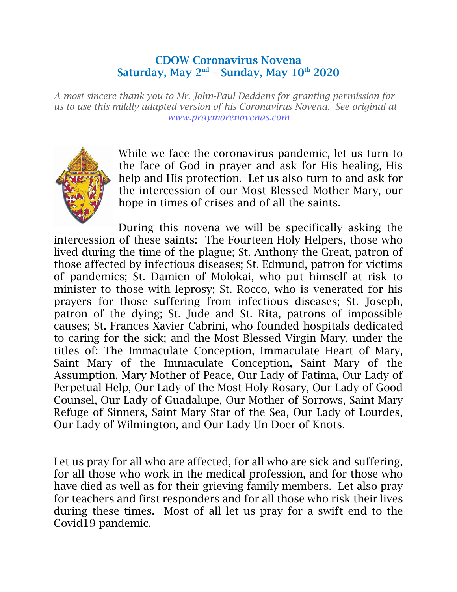## CDOW Coronavirus Novena Saturday, May 2<sup>nd</sup> - Sunday, May 10<sup>th</sup> 2020

*A most sincere thank you to Mr. John-Paul Deddens for granting permission for us to use this mildly adapted version of his Coronavirus Novena. See original at [www.praymorenovenas.com](http://www.praymorenovenas.com/)*



While we face the coronavirus pandemic, let us turn to the face of God in prayer and ask for His healing, His help and His protection. Let us also turn to and ask for the intercession of our Most Blessed Mother Mary, our hope in times of crises and of all the saints.

During this novena we will be specifically asking the intercession of these saints: The Fourteen Holy Helpers, those who lived during the time of the plague; St. Anthony the Great, patron of those affected by infectious diseases; St. Edmund, patron for victims of pandemics; St. Damien of Molokai, who put himself at risk to minister to those with leprosy; St. Rocco, who is venerated for his prayers for those suffering from infectious diseases; St. Joseph, patron of the dying; St. Jude and St. Rita, patrons of impossible causes; St. Frances Xavier Cabrini, who founded hospitals dedicated to caring for the sick; and the Most Blessed Virgin Mary, under the titles of: The Immaculate Conception, Immaculate Heart of Mary, Saint Mary of the Immaculate Conception, Saint Mary of the Assumption, Mary Mother of Peace, Our Lady of Fatima, Our Lady of Perpetual Help, Our Lady of the Most Holy Rosary, Our Lady of Good Counsel, Our Lady of Guadalupe, Our Mother of Sorrows, Saint Mary Refuge of Sinners, Saint Mary Star of the Sea, Our Lady of Lourdes, Our Lady of Wilmington, and Our Lady Un-Doer of Knots.

Let us pray for all who are affected, for all who are sick and suffering, for all those who work in the medical profession, and for those who have died as well as for their grieving family members. Let also pray for teachers and first responders and for all those who risk their lives during these times. Most of all let us pray for a swift end to the Covid19 pandemic.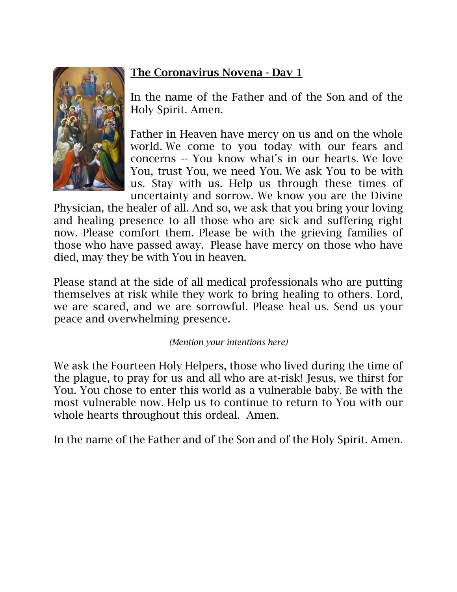

In the name of the Father and of the Son and of the Holy Spirit. Amen.

Father in Heaven have mercy on us and on the whole world. We come to you today with our fears and concerns -- You know what's in our hearts. We love You, trust You, we need You. We ask You to be with us. Stay with us. Help us through these times of uncertainty and sorrow. We know you are the Divine

Physician, the healer of all. And so, we ask that you bring your loving and healing presence to all those who are sick and suffering right now. Please comfort them. Please be with the grieving families of those who have passed away. Please have mercy on those who have died, may they be with You in heaven.

Please stand at the side of all medical professionals who are putting themselves at risk while they work to bring healing to others. Lord, we are scared, and we are sorrowful. Please heal us. Send us your peace and overwhelming presence*.*

#### *(Mention your intentions here)*

We ask the Fourteen Holy Helpers, those who lived during the time of the plague, to pray for us and all who are at-risk! Jesus, we thirst for You. You chose to enter this world as a vulnerable baby. Be with the most vulnerable now. Help us to continue to return to You with our whole hearts throughout this ordeal. Amen.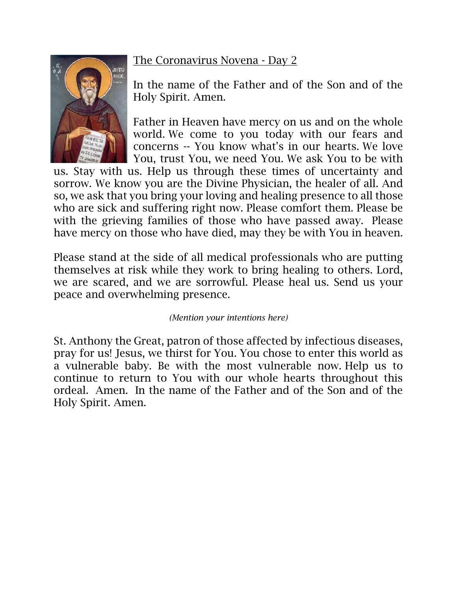

In the name of the Father and of the Son and of the Holy Spirit. Amen.

Father in Heaven have mercy on us and on the whole world. We come to you today with our fears and concerns -- You know what's in our hearts. We love You, trust You, we need You. We ask You to be with

us. Stay with us. Help us through these times of uncertainty and sorrow. We know you are the Divine Physician, the healer of all. And so, we ask that you bring your loving and healing presence to all those who are sick and suffering right now. Please comfort them. Please be with the grieving families of those who have passed away. Please have mercy on those who have died, may they be with You in heaven.

Please stand at the side of all medical professionals who are putting themselves at risk while they work to bring healing to others. Lord, we are scared, and we are sorrowful. Please heal us. Send us your peace and overwhelming presence.

*(Mention your intentions here)*

St. Anthony the Great, patron of those affected by infectious diseases, pray for us! Jesus, we thirst for You. You chose to enter this world as a vulnerable baby. Be with the most vulnerable now. Help us to continue to return to You with our whole hearts throughout this ordeal. Amen. In the name of the Father and of the Son and of the Holy Spirit. Amen.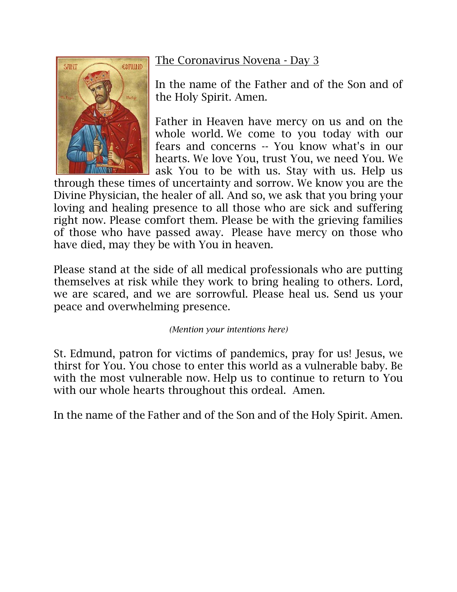# **CDMUND** SAINT

## The Coronavirus Novena - Day 3

In the name of the Father and of the Son and of the Holy Spirit. Amen.

Father in Heaven have mercy on us and on the whole world. We come to you today with our fears and concerns -- You know what's in our hearts. We love You, trust You, we need You. We ask You to be with us. Stay with us. Help us

through these times of uncertainty and sorrow. We know you are the Divine Physician, the healer of all. And so, we ask that you bring your loving and healing presence to all those who are sick and suffering right now. Please comfort them. Please be with the grieving families of those who have passed away. Please have mercy on those who have died, may they be with You in heaven.

Please stand at the side of all medical professionals who are putting themselves at risk while they work to bring healing to others. Lord, we are scared, and we are sorrowful. Please heal us. Send us your peace and overwhelming presence.

*(Mention your intentions here)*

St. Edmund, patron for victims of pandemics, pray for us! Jesus, we thirst for You. You chose to enter this world as a vulnerable baby. Be with the most vulnerable now. Help us to continue to return to You with our whole hearts throughout this ordeal. Amen.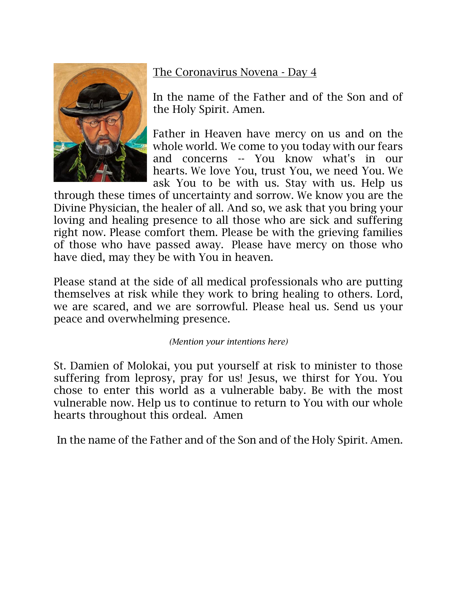

In the name of the Father and of the Son and of the Holy Spirit. Amen.

Father in Heaven have mercy on us and on the whole world. We come to you today with our fears and concerns -- You know what's in our hearts. We love You, trust You, we need You. We ask You to be with us. Stay with us. Help us

through these times of uncertainty and sorrow. We know you are the Divine Physician, the healer of all. And so, we ask that you bring your loving and healing presence to all those who are sick and suffering right now. Please comfort them. Please be with the grieving families of those who have passed away. Please have mercy on those who have died, may they be with You in heaven.

Please stand at the side of all medical professionals who are putting themselves at risk while they work to bring healing to others. Lord, we are scared, and we are sorrowful. Please heal us. Send us your peace and overwhelming presence.

#### *(Mention your intentions here)*

St. Damien of Molokai, you put yourself at risk to minister to those suffering from leprosy, pray for us! Jesus, we thirst for You. You chose to enter this world as a vulnerable baby. Be with the most vulnerable now. Help us to continue to return to You with our whole hearts throughout this ordeal. Amen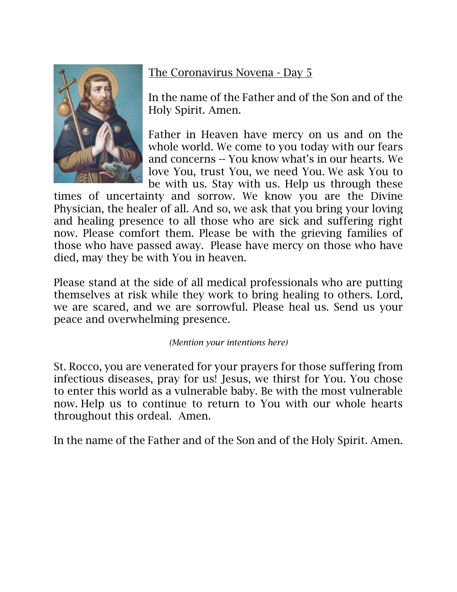

In the name of the Father and of the Son and of the Holy Spirit. Amen.

Father in Heaven have mercy on us and on the whole world. We come to you today with our fears and concerns -- You know what's in our hearts. We love You, trust You, we need You. We ask You to be with us. Stay with us. Help us through these

times of uncertainty and sorrow. We know you are the Divine Physician, the healer of all. And so, we ask that you bring your loving and healing presence to all those who are sick and suffering right now. Please comfort them. Please be with the grieving families of those who have passed away. Please have mercy on those who have died, may they be with You in heaven.

Please stand at the side of all medical professionals who are putting themselves at risk while they work to bring healing to others. Lord, we are scared, and we are sorrowful. Please heal us. Send us your peace and overwhelming presence.

#### *(Mention your intentions here)*

St. Rocco, you are venerated for your prayers for those suffering from infectious diseases, pray for us! Jesus, we thirst for You. You chose to enter this world as a vulnerable baby. Be with the most vulnerable now. Help us to continue to return to You with our whole hearts throughout this ordeal. Amen.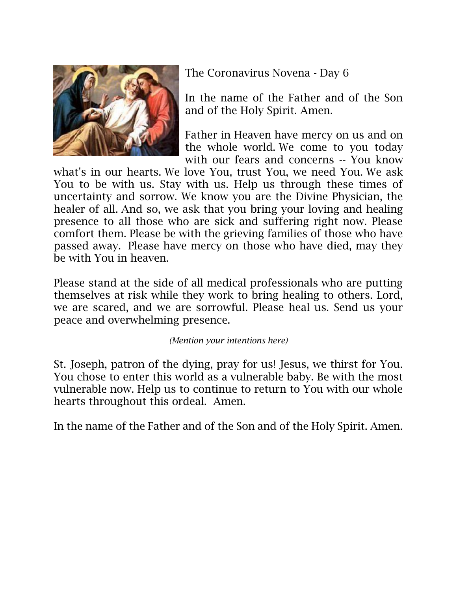

In the name of the Father and of the Son and of the Holy Spirit. Amen.

Father in Heaven have mercy on us and on the whole world. We come to you today with our fears and concerns -- You know

what's in our hearts. We love You, trust You, we need You. We ask You to be with us. Stay with us. Help us through these times of uncertainty and sorrow. We know you are the Divine Physician, the healer of all. And so, we ask that you bring your loving and healing presence to all those who are sick and suffering right now. Please comfort them. Please be with the grieving families of those who have passed away. Please have mercy on those who have died, may they be with You in heaven.

Please stand at the side of all medical professionals who are putting themselves at risk while they work to bring healing to others. Lord, we are scared, and we are sorrowful. Please heal us. Send us your peace and overwhelming presence.

*(Mention your intentions here)*

St. Joseph, patron of the dying, pray for us! Jesus, we thirst for You. You chose to enter this world as a vulnerable baby. Be with the most vulnerable now. Help us to continue to return to You with our whole hearts throughout this ordeal. Amen.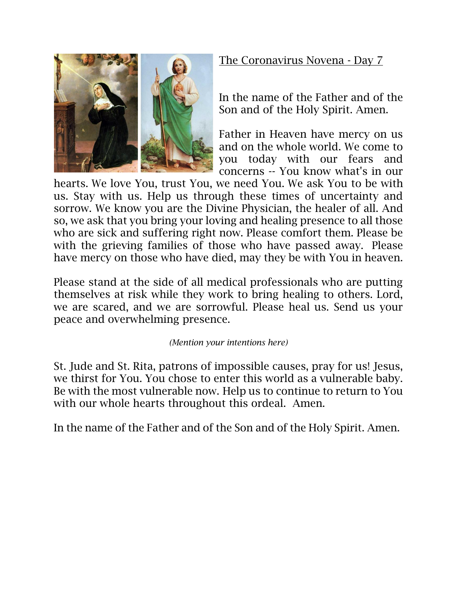

In the name of the Father and of the Son and of the Holy Spirit. Amen.

Father in Heaven have mercy on us and on the whole world. We come to you today with our fears and concerns -- You know what's in our

hearts. We love You, trust You, we need You. We ask You to be with us. Stay with us. Help us through these times of uncertainty and sorrow. We know you are the Divine Physician, the healer of all. And so, we ask that you bring your loving and healing presence to all those who are sick and suffering right now. Please comfort them. Please be with the grieving families of those who have passed away. Please have mercy on those who have died, may they be with You in heaven.

Please stand at the side of all medical professionals who are putting themselves at risk while they work to bring healing to others. Lord, we are scared, and we are sorrowful. Please heal us. Send us your peace and overwhelming presence.

*(Mention your intentions here)*

St. Jude and St. Rita, patrons of impossible causes, pray for us! Jesus, we thirst for You. You chose to enter this world as a vulnerable baby. Be with the most vulnerable now. Help us to continue to return to You with our whole hearts throughout this ordeal. Amen.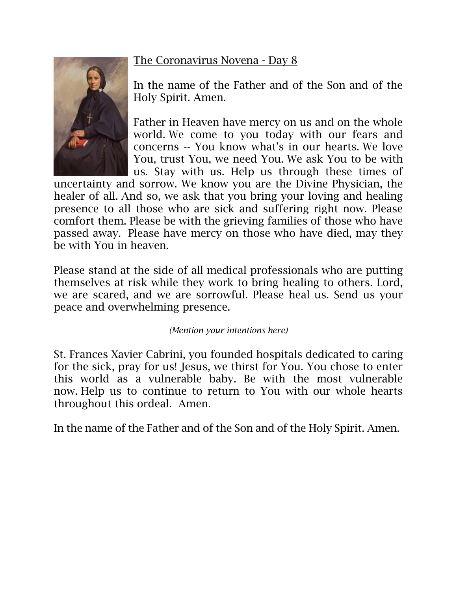

In the name of the Father and of the Son and of the Holy Spirit. Amen.

Father in Heaven have mercy on us and on the whole world. We come to you today with our fears and concerns -- You know what's in our hearts. We love You, trust You, we need You. We ask You to be with us. Stay with us. Help us through these times of

uncertainty and sorrow. We know you are the Divine Physician, the healer of all. And so, we ask that you bring your loving and healing presence to all those who are sick and suffering right now. Please comfort them. Please be with the grieving families of those who have passed away. Please have mercy on those who have died, may they be with You in heaven.

Please stand at the side of all medical professionals who are putting themselves at risk while they work to bring healing to others. Lord, we are scared, and we are sorrowful. Please heal us. Send us your peace and overwhelming presence.

*(Mention your intentions here)*

St. Frances Xavier Cabrini, you founded hospitals dedicated to caring for the sick, pray for us! Jesus, we thirst for You. You chose to enter this world as a vulnerable baby. Be with the most vulnerable now. Help us to continue to return to You with our whole hearts throughout this ordeal. Amen.